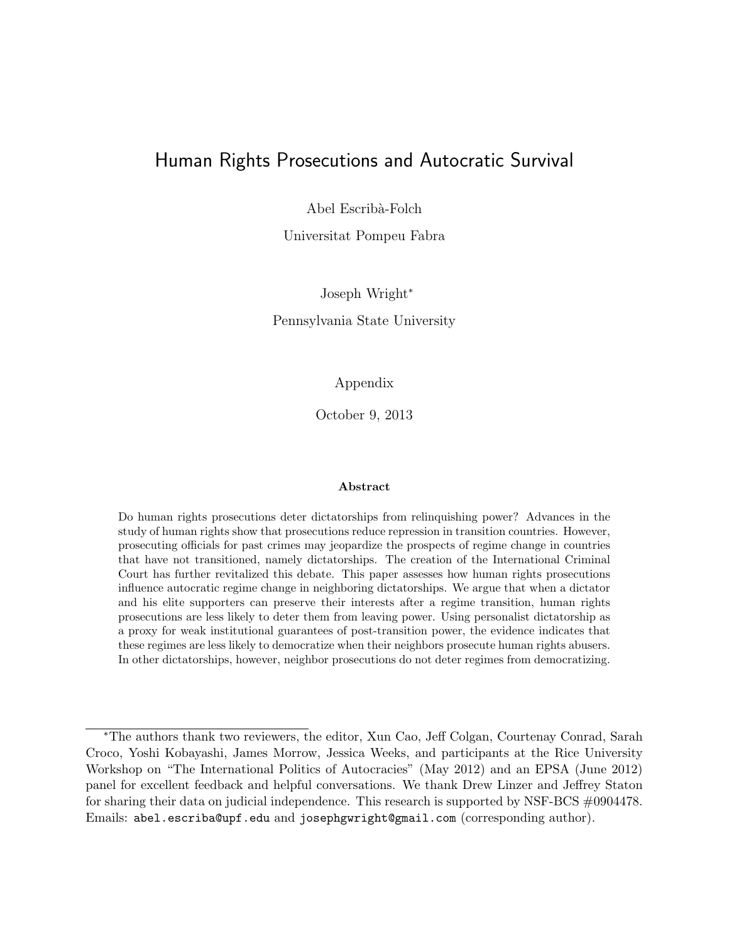#### Human Rights Prosecutions and Autocratic Survival

Abel Escribà-Folch

Universitat Pompeu Fabra

Joseph Wright<sup>∗</sup> Pennsylvania State University

Appendix

October 9, 2013

#### Abstract

Do human rights prosecutions deter dictatorships from relinquishing power? Advances in the study of human rights show that prosecutions reduce repression in transition countries. However, prosecuting officials for past crimes may jeopardize the prospects of regime change in countries that have not transitioned, namely dictatorships. The creation of the International Criminal Court has further revitalized this debate. This paper assesses how human rights prosecutions influence autocratic regime change in neighboring dictatorships. We argue that when a dictator and his elite supporters can preserve their interests after a regime transition, human rights prosecutions are less likely to deter them from leaving power. Using personalist dictatorship as a proxy for weak institutional guarantees of post-transition power, the evidence indicates that these regimes are less likely to democratize when their neighbors prosecute human rights abusers. In other dictatorships, however, neighbor prosecutions do not deter regimes from democratizing.

<sup>∗</sup>The authors thank two reviewers, the editor, Xun Cao, Jeff Colgan, Courtenay Conrad, Sarah Croco, Yoshi Kobayashi, James Morrow, Jessica Weeks, and participants at the Rice University Workshop on "The International Politics of Autocracies" (May 2012) and an EPSA (June 2012) panel for excellent feedback and helpful conversations. We thank Drew Linzer and Jeffrey Staton for sharing their data on judicial independence. This research is supported by NSF-BCS #0904478. Emails: abel.escriba@upf.edu and josephgwright@gmail.com (corresponding author).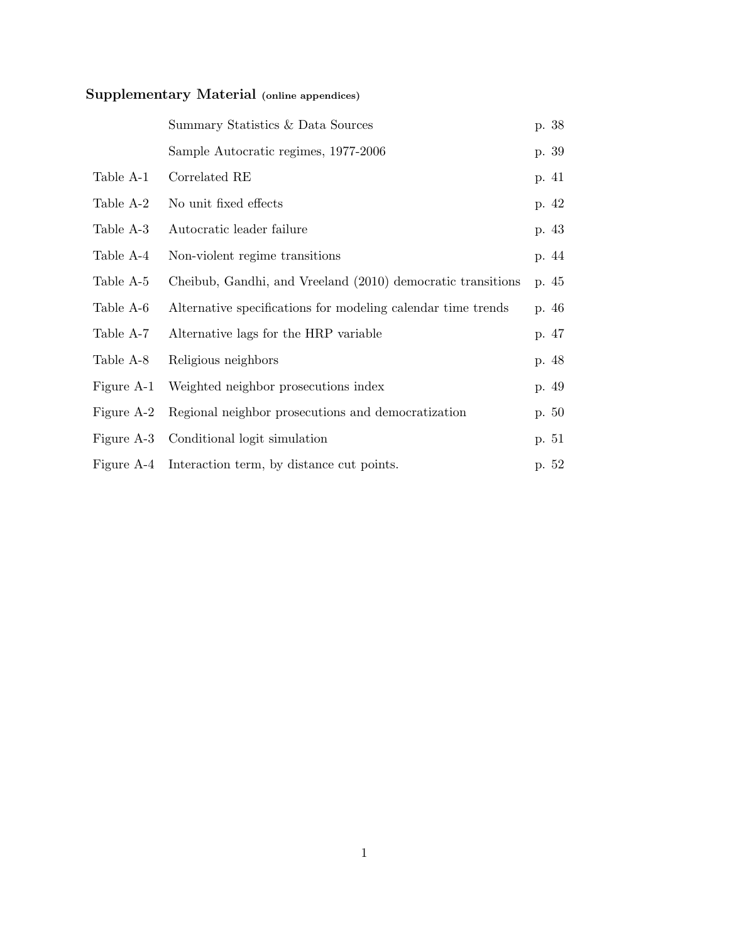# Supplementary Material (online appendices)

|            | Summary Statistics & Data Sources                            | p. 38 |
|------------|--------------------------------------------------------------|-------|
|            | Sample Autocratic regimes, 1977-2006                         | p. 39 |
| Table A-1  | Correlated RE                                                | p. 41 |
| Table A-2  | No unit fixed effects                                        | p. 42 |
| Table A-3  | Autocratic leader failure                                    | p. 43 |
| Table A-4  | Non-violent regime transitions                               | p. 44 |
| Table A-5  | Cheibub, Gandhi, and Vreeland (2010) democratic transitions  | p. 45 |
| Table A-6  | Alternative specifications for modeling calendar time trends | p. 46 |
| Table A-7  | Alternative lags for the HRP variable                        | p. 47 |
| Table A-8  | Religious neighbors                                          | p. 48 |
| Figure A-1 | Weighted neighbor prosecutions index                         | p. 49 |
| Figure A-2 | Regional neighbor prosecutions and democratization           | p. 50 |
| Figure A-3 | Conditional logit simulation                                 | p. 51 |
| Figure A-4 | Interaction term, by distance cut points.                    | p. 52 |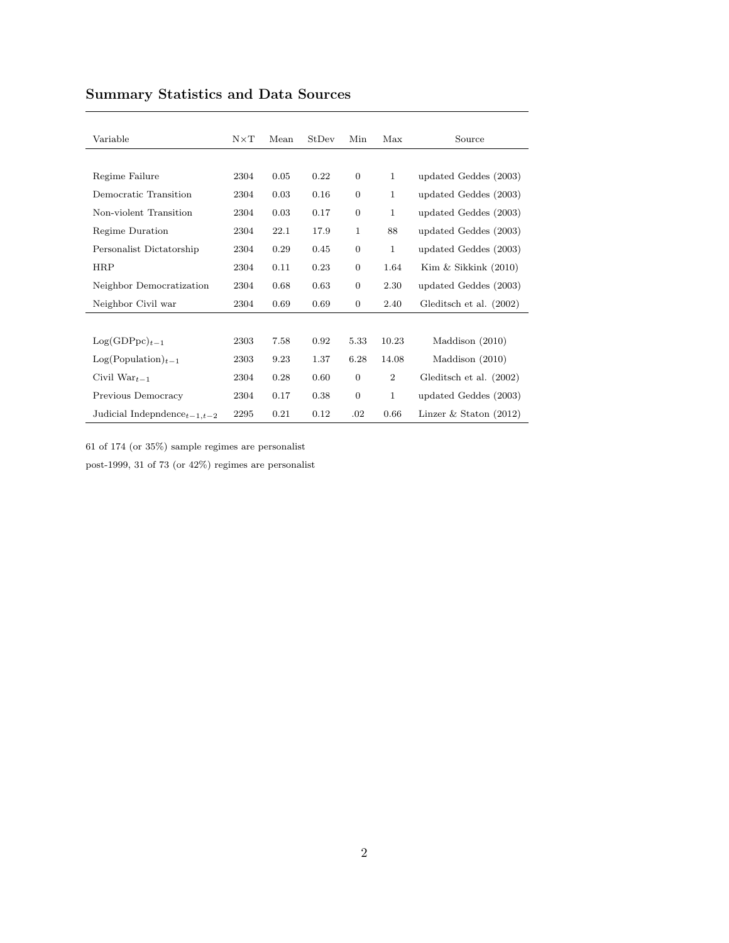| Variable                       | $N \times T$ | Mean | <b>StDev</b> | Min              | Max            | Source                   |
|--------------------------------|--------------|------|--------------|------------------|----------------|--------------------------|
|                                |              |      |              |                  |                |                          |
|                                |              |      |              |                  |                |                          |
| Regime Failure                 | 2304         | 0.05 | 0.22         | $\boldsymbol{0}$ | $\mathbf{1}$   | updated Geddes (2003)    |
| Democratic Transition          | 2304         | 0.03 | 0.16         | $\boldsymbol{0}$ | 1              | updated Geddes (2003)    |
| Non-violent Transition         | 2304         | 0.03 | 0.17         | $\boldsymbol{0}$ | 1              | updated Geddes (2003)    |
| Regime Duration                | 2304         | 22.1 | 17.9         | 1                | 88             | updated Geddes (2003)    |
| Personalist Dictatorship       | 2304         | 0.29 | 0.45         | $\boldsymbol{0}$ | $\mathbf{1}$   | updated Geddes (2003)    |
| <b>HRP</b>                     | 2304         | 0.11 | 0.23         | $\boldsymbol{0}$ | 1.64           | Kim $&$ Sikkink $(2010)$ |
| Neighbor Democratization       | 2304         | 0.68 | 0.63         | $\boldsymbol{0}$ | 2.30           | updated Geddes (2003)    |
| Neighbor Civil war             | 2304         | 0.69 | 0.69         | 0                | 2.40           | Gleditsch et al. (2002)  |
|                                |              |      |              |                  |                |                          |
| $Log(GDPpc)_{t-1}$             | 2303         | 7.58 | 0.92         | 5.33             | 10.23          | Maddison (2010)          |
| $Log(Population)_{t-1}$        | 2303         | 9.23 | 1.37         | 6.28             | 14.08          | Maddison $(2010)$        |
| Civil $\text{War}_{t-1}$       | 2304         | 0.28 | 0.60         | $\mathbf{0}$     | $\overline{2}$ | Gleditsch et al. (2002)  |
| Previous Democracy             | 2304         | 0.17 | 0.38         | $\overline{0}$   | 1              | updated Geddes (2003)    |
| Judicial Indepndence $t-1,t-2$ | 2295         | 0.21 | 0.12         | .02              | 0.66           | Linzer & Staton $(2012)$ |

## Summary Statistics and Data Sources

61 of 174 (or 35%) sample regimes are personalist

post-1999, 31 of 73 (or 42%) regimes are personalist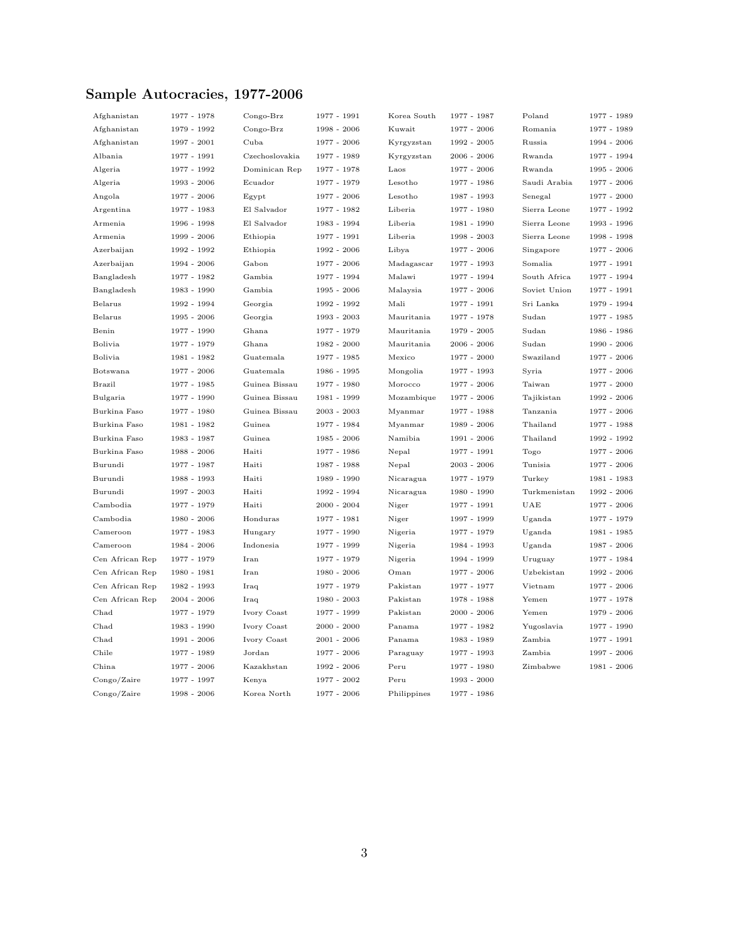## Sample Autocracies, 1977-2006

| Afghanistan     | 1977 - 1978   | Congo-Brz      | 1977 - 1991   | Korea South | 1977 - 1987   | Poland       | 1977 - 1989   |
|-----------------|---------------|----------------|---------------|-------------|---------------|--------------|---------------|
| Afghanistan     | 1979 - 1992   | Congo-Brz      | 1998 - 2006   | Kuwait      | 1977 - 2006   | Romania      | 1977 - 1989   |
| Afghanistan     | 1997 - 2001   | Cuba           | 1977 - 2006   | Kyrgyzstan  | 1992 - 2005   | Russia       | 1994 - 2006   |
| Albania         | 1977 - 1991   | Czechoslovakia | 1977 - 1989   | Kyrgyzstan  | $2006 - 2006$ | Rwanda       | 1977 - 1994   |
| Algeria         | 1977 - 1992   | Dominican Rep  | 1977 - 1978   | Laos        | 1977 - 2006   | Rwanda       | 1995 - 2006   |
| Algeria         | 1993 - 2006   | Ecuador        | 1977 - 1979   | Lesotho     | 1977 - 1986   | Saudi Arabia | 1977 - 2006   |
| Angola          | 1977 - 2006   | Egypt          | 1977 - 2006   | Lesotho     | 1987 - 1993   | Senegal      | 1977 - 2000   |
| Argentina       | 1977 - 1983   | El Salvador    | 1977 - 1982   | Liberia     | 1977 - 1980   | Sierra Leone | 1977 - 1992   |
| Armenia         | 1996 - 1998   | El Salvador    | 1983 - 1994   | Liberia     | 1981 - 1990   | Sierra Leone | 1993 - 1996   |
| Armenia         | 1999 - 2006   | Ethiopia       | 1977 - 1991   | Liberia     | $1998 - 2003$ | Sierra Leone | 1998 - 1998   |
| Azerbaijan      | 1992 - 1992   | Ethiopia       | 1992 - 2006   | Libya       | 1977 - 2006   | Singapore    | 1977 - 2006   |
| Azerbaijan      | $1994 - 2006$ | Gabon          | 1977 - 2006   | Madagascar  | 1977 - 1993   | Somalia      | 1977 - 1991   |
| Bangladesh      | 1977 - 1982   | Gambia         | 1977 - 1994   | Malawi      | 1977 - 1994   | South Africa | 1977 - 1994   |
| Bangladesh      | 1983 - 1990   | Gambia         | 1995 - 2006   | Malaysia    | 1977 - 2006   | Soviet Union | 1977 - 1991   |
| Belarus         | 1992 - 1994   | Georgia        | 1992 - 1992   | Mali        | 1977 - 1991   | Sri Lanka    | 1979 - 1994   |
| Belarus         | 1995 - 2006   | Georgia        | 1993 - 2003   | Mauritania  | 1977 - 1978   | Sudan        | 1977 - 1985   |
| Benin           | 1977 - 1990   | Ghana          | 1977 - 1979   | Mauritania  | $1979 - 2005$ | Sudan        | 1986 - 1986   |
| Bolivia         | 1977 - 1979   | Ghana          | $1982 - 2000$ | Mauritania  | 2006 - 2006   | Sudan        | 1990 - 2006   |
| Bolivia         | 1981 - 1982   | Guatemala      | 1977 - 1985   | Mexico      | $1977 - 2000$ | Swaziland    | 1977 - 2006   |
| Botswana        | 1977 - 2006   | Guatemala      | 1986 - 1995   | Mongolia    | 1977 - 1993   | Syria        | 1977 - 2006   |
| <b>Brazil</b>   | 1977 - 1985   | Guinea Bissau  | 1977 - 1980   | Morocco     | 1977 - 2006   | Taiwan       | 1977 - 2000   |
| Bulgaria        | 1977 - 1990   | Guinea Bissau  | 1981 - 1999   | Mozambique  | $1977 - 2006$ | Tajikistan   | 1992 - 2006   |
| Burkina Faso    | 1977 - 1980   | Guinea Bissau  | $2003 - 2003$ | Myanmar     | 1977 - 1988   | Tanzania     | 1977 - 2006   |
| Burkina Faso    | 1981 - 1982   | Guinea         | 1977 - 1984   | Myanmar     | 1989 - 2006   | Thailand     | 1977 - 1988   |
| Burkina Faso    | 1983 - 1987   | Guinea         | 1985 - 2006   | Namibia     | $1991 - 2006$ | Thailand     | 1992 - 1992   |
| Burkina Faso    | 1988 - 2006   | Haiti          | 1977 - 1986   | Nepal       | 1977 - 1991   | Togo         | 1977 - 2006   |
| Burundi         | 1977 - 1987   | Haiti          | 1987 - 1988   | Nepal       | $2003 - 2006$ | Tunisia      | 1977 - 2006   |
| Burundi         | 1988 - 1993   | Haiti          | 1989 - 1990   | Nicaragua   | 1977 - 1979   | Turkey       | 1981 - 1983   |
| Burundi         | 1997 - 2003   | Haiti          | 1992 - 1994   | Nicaragua   | 1980 - 1990   | Turkmenistan | 1992 - 2006   |
| Cambodia        | 1977 - 1979   | Haiti          | $2000 - 2004$ | Niger       | 1977 - 1991   | UAE          | 1977 - 2006   |
| Cambodia        | 1980 - 2006   | Honduras       | 1977 - 1981   | Niger       | 1997 - 1999   | Uganda       | 1977 - 1979   |
| Cameroon        | 1977 - 1983   | Hungary        | 1977 - 1990   | Nigeria     | 1977 - 1979   | Uganda       | 1981 - 1985   |
| Cameroon        | $1984 - 2006$ | Indonesia      | 1977 - 1999   | Nigeria     | 1984 - 1993   | Uganda       | 1987 - 2006   |
| Cen African Rep | 1977 - 1979   | Iran           | 1977 - 1979   | Nigeria     | 1994 - 1999   | Uruguay      | 1977 - 1984   |
| Cen African Rep | 1980 - 1981   | Iran           | 1980 - 2006   | Oman        | 1977 - 2006   | Uzbekistan   | 1992 - 2006   |
| Cen African Rep | 1982 - 1993   | Iraq           | 1977 - 1979   | Pakistan    | 1977 - 1977   | Vietnam      | 1977 - 2006   |
| Cen African Rep | $2004 - 2006$ | Iraq           | $1980 - 2003$ | Pakistan    | 1978 - 1988   | Yemen        | 1977 - 1978   |
| Chad            | 1977 - 1979   | Ivory Coast    | 1977 - 1999   | Pakistan    | $2000 - 2006$ | Yemen        | 1979 - 2006   |
| Chad            | 1983 - 1990   | Ivory Coast    | $2000 - 2000$ | Panama      | 1977 - 1982   | Yugoslavia   | 1977 - 1990   |
| Chad            | $1991 - 2006$ | Ivory Coast    | $2001 - 2006$ | Panama      | 1983 - 1989   | Zambia       | 1977 - 1991   |
| Chile           | 1977 - 1989   | Jordan         | 1977 - 2006   | Paraguay    | 1977 - 1993   | Zambia       | 1997 - 2006   |
| China           | 1977 - 2006   | Kazakhstan     | 1992 - 2006   | Peru        | 1977 - 1980   | Zimbabwe     | $1981 - 2006$ |
| Congo/Zaire     | 1977 - 1997   | Kenya          | 1977 - 2002   | Peru        | 1993 - 2000   |              |               |
| Congo/Zaire     | 1998 - 2006   | Korea North    | 1977 - 2006   | Philippines | 1977 - 1986   |              |               |
|                 |               |                |               |             |               |              |               |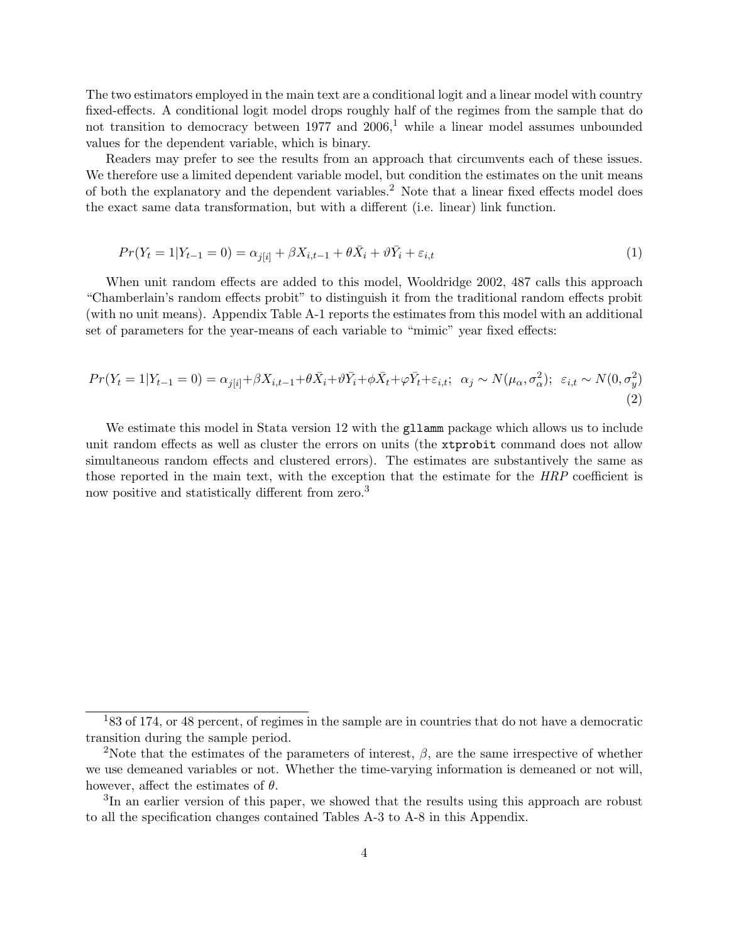The two estimators employed in the main text are a conditional logit and a linear model with country fixed-effects. A conditional logit model drops roughly half of the regimes from the sample that do not transition to democracy between [1](#page-4-0)977 and  $2006<sup>1</sup>$  while a linear model assumes unbounded values for the dependent variable, which is binary.

Readers may prefer to see the results from an approach that circumvents each of these issues. We therefore use a limited dependent variable model, but condition the estimates on the unit means of both the explanatory and the dependent variables.[2](#page-4-1) Note that a linear fixed effects model does the exact same data transformation, but with a different (i.e. linear) link function.

$$
Pr(Y_t = 1 | Y_{t-1} = 0) = \alpha_{j[i]} + \beta X_{i,t-1} + \theta \bar{X}_i + \vartheta \bar{Y}_i + \varepsilon_{i,t}
$$
\n(1)

When unit random effects are added to this model, [Wooldridge 2002,](#page-16-0) 487 calls this approach "Chamberlain's random effects probit" to distinguish it from the traditional random effects probit (with no unit means). Appendix Table A-1 reports the estimates from this model with an additional set of parameters for the year-means of each variable to "mimic" year fixed effects:

$$
Pr(Y_t = 1 | Y_{t-1} = 0) = \alpha_{j[i]} + \beta X_{i,t-1} + \theta \bar{X}_i + \vartheta \bar{Y}_i + \phi \bar{X}_t + \varphi \bar{Y}_t + \varepsilon_{i,t}; \ \alpha_j \sim N(\mu_\alpha, \sigma_\alpha^2); \ \varepsilon_{i,t} \sim N(0, \sigma_y^2)
$$
\n(2)

We estimate this model in Stata version 12 with the gllamm package which allows us to include unit random effects as well as cluster the errors on units (the xtprobit command does not allow simultaneous random effects and clustered errors). The estimates are substantively the same as those reported in the main text, with the exception that the estimate for the HRP coefficient is now positive and statistically different from zero.<sup>[3](#page-4-2)</sup>

<span id="page-4-0"></span> $183$  of 174, or 48 percent, of regimes in the sample are in countries that do not have a democratic transition during the sample period.

<span id="page-4-1"></span><sup>&</sup>lt;sup>2</sup>Note that the estimates of the parameters of interest,  $\beta$ , are the same irrespective of whether we use demeaned variables or not. Whether the time-varying information is demeaned or not will, however, affect the estimates of  $\theta$ .

<span id="page-4-2"></span><sup>&</sup>lt;sup>3</sup>In an earlier version of this paper, we showed that the results using this approach are robust to all the specification changes contained Tables A-3 to A-8 in this Appendix.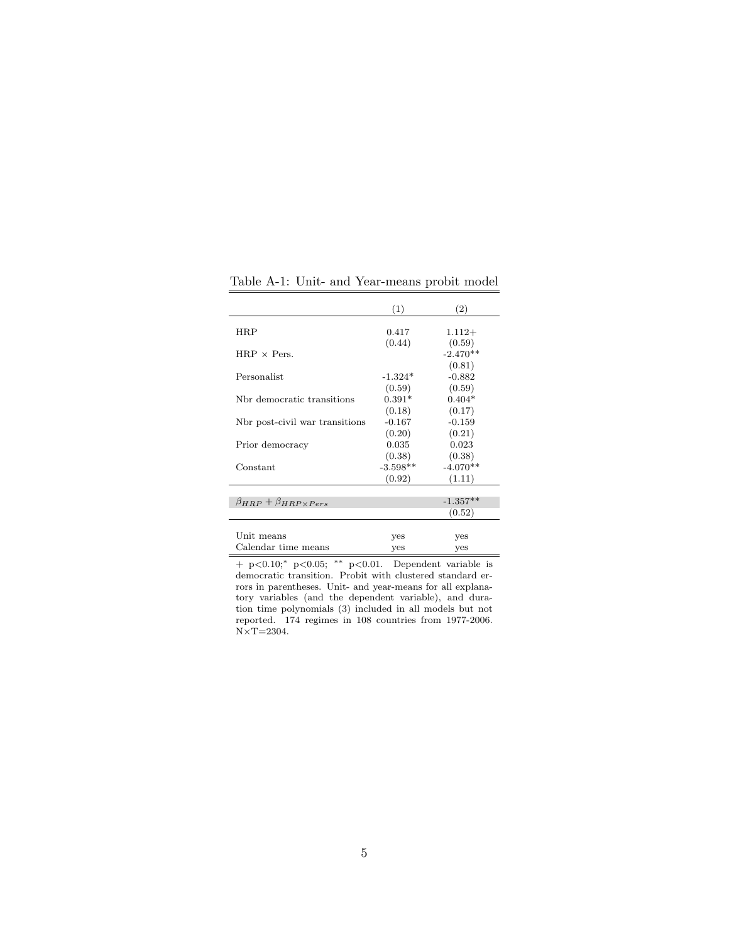|                                        | (1)        | (2)        |
|----------------------------------------|------------|------------|
|                                        |            |            |
| HRP                                    | 0.417      | $1.112+$   |
|                                        | (0.44)     | (0.59)     |
| $HRP \times Pers.$                     |            | $-2.470**$ |
|                                        |            | (0.81)     |
| Personalist                            | $-1.324*$  | $-0.882$   |
|                                        | (0.59)     | (0.59)     |
| Nbr democratic transitions             | $0.391*$   | $0.404*$   |
|                                        | (0.18)     | (0.17)     |
| Nbr post-civil war transitions         | $-0.167$   | $-0.159$   |
|                                        | (0.20)     | (0.21)     |
| Prior democracy                        | 0.035      | 0.023      |
|                                        | (0.38)     | (0.38)     |
| Constant                               | $-3.598**$ | $-4.070**$ |
|                                        | (0.92)     | (1.11)     |
|                                        |            |            |
| $\beta_{HRP} + \beta_{HRP\times Pers}$ |            | $-1.357**$ |
|                                        |            | (0.52)     |
|                                        |            |            |
| Unit means                             | yes        | yes        |
| Calendar time means                    | yes        | yes        |

Table A-1: Unit- and Year-means probit model

+ p<0.10;<sup>∗</sup> p<0.05; ∗∗ p<0.01. Dependent variable is democratic transition. Probit with clustered standard errors in parentheses. Unit- and year-means for all explanatory variables (and the dependent variable), and duration time polynomials (3) included in all models but not reported. 174 regimes in 108 countries from 1977-2006.  $N\times T=2304.$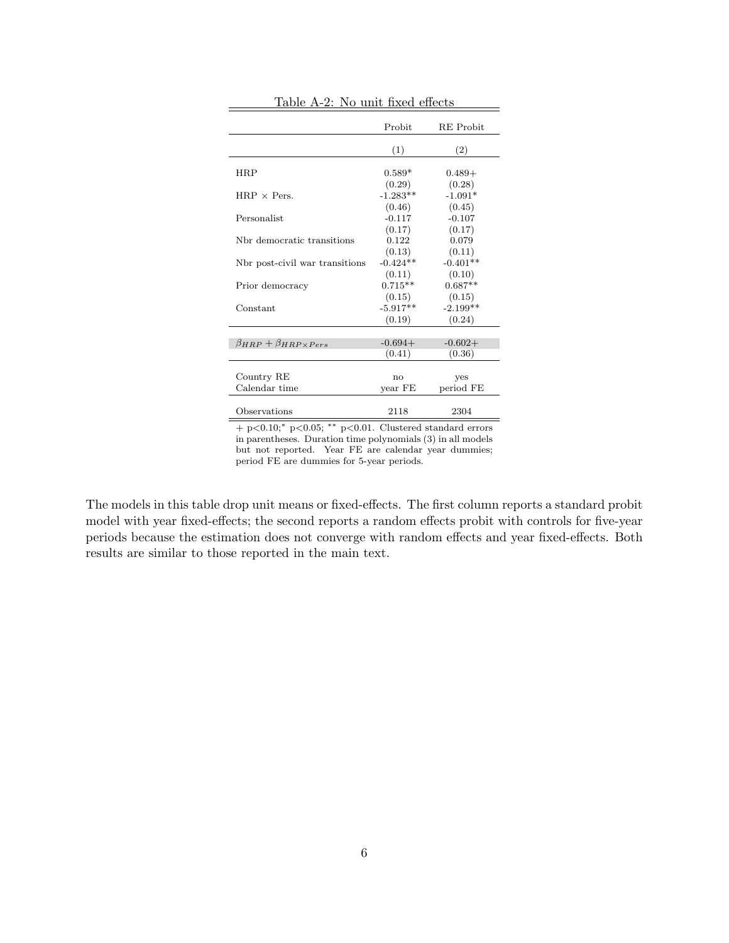|                                        | Probit     | <b>RE</b> Probit |
|----------------------------------------|------------|------------------|
|                                        | (1)        | (2)              |
| HRP                                    | $0.589*$   | $0.489+$         |
|                                        | (0.29)     | (0.28)           |
| $HRP \times Pers.$                     | $-1.283**$ | $-1.091*$        |
|                                        | (0.46)     | (0.45)           |
| Personalist                            | $-0.117$   | $-0.107$         |
|                                        | (0.17)     | (0.17)           |
| Nbr democratic transitions             | 0.122      | 0.079            |
|                                        | (0.13)     | (0.11)           |
| Not post-civil war transitions         | $-0.424**$ | $-0.401**$       |
|                                        | (0.11)     | (0.10)           |
| Prior democracy                        | $0.715**$  | $0.687**$        |
|                                        | (0.15)     | (0.15)           |
| Constant                               | $-5.917**$ | $-2.199**$       |
|                                        | (0.19)     | (0.24)           |
|                                        |            |                  |
| $\beta_{HRP} + \beta_{HRP\times Pers}$ | $-0.694+$  | $-0.602+$        |
|                                        | (0.41)     | (0.36)           |
|                                        |            |                  |
| Country RE                             | no         | yes              |
| Calendar time                          | year FE    | period FE        |
|                                        |            |                  |
| Observations                           | 2118       | 2304             |

Table A-2: No unit fixed effects

 $+$  p $<0.10$ ;<sup>\*</sup> p $<0.05$ ; \*\* p $<0.01$ . Clustered standard errors in parentheses. Duration time polynomials (3) in all models but not reported. Year FE are calendar year dummies; period FE are dummies for 5-year periods.

The models in this table drop unit means or fixed-effects. The first column reports a standard probit model with year fixed-effects; the second reports a random effects probit with controls for five-year periods because the estimation does not converge with random effects and year fixed-effects. Both results are similar to those reported in the main text.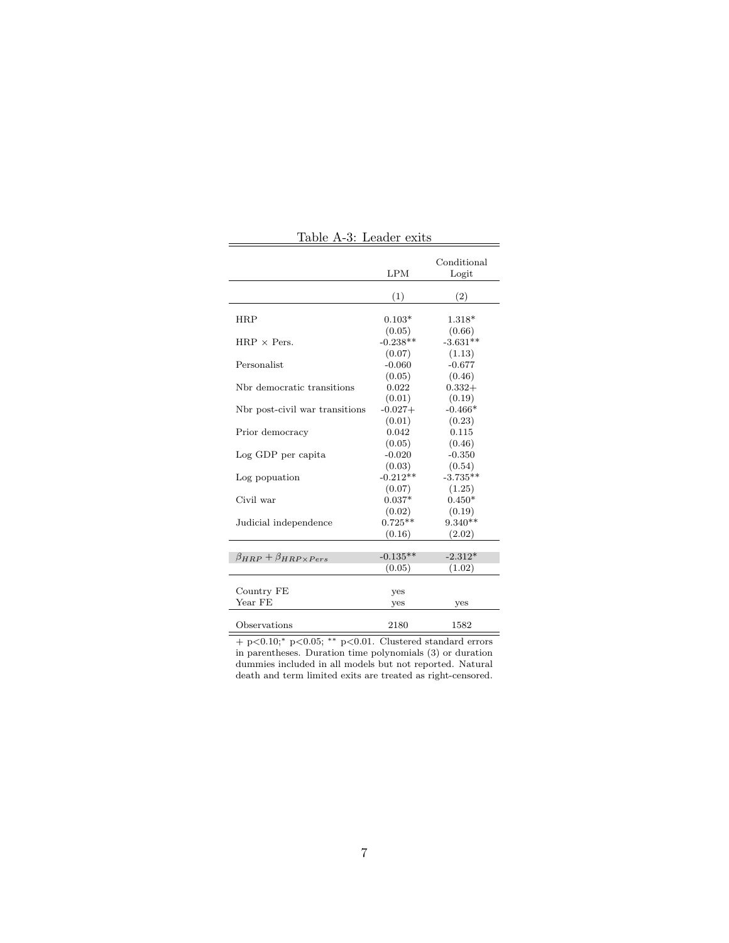| Table A-3: Leader exits                |                           |                           |  |  |
|----------------------------------------|---------------------------|---------------------------|--|--|
|                                        | <b>LPM</b>                | Conditional<br>Logit      |  |  |
|                                        | (1)                       | (2)                       |  |  |
| <b>HRP</b>                             | $0.103*$                  | 1.318*                    |  |  |
| $HRP \times Pers.$                     | (0.05)<br>$-0.238**$      | (0.66)<br>$-3.631**$      |  |  |
| Personalist                            | (0.07)<br>$-0.060$        | (1.13)<br>$-0.677$        |  |  |
| Nbr democratic transitions             | (0.05)<br>0.022           | (0.46)<br>$0.332+$        |  |  |
| Not post-civil war transitions         | (0.01)<br>$-0.027+$       | (0.19)<br>$-0.466*$       |  |  |
| Prior democracy                        | (0.01)<br>0.042<br>(0.05) | (0.23)<br>0.115<br>(0.46) |  |  |
| Log GDP per capita                     | $-0.020$<br>(0.03)        | $-0.350$<br>(0.54)        |  |  |
| Log popuation                          | $-0.212**$<br>(0.07)      | $-3.735**$<br>(1.25)      |  |  |
| Civil war                              | $0.037*$<br>(0.02)        | $0.450*$<br>(0.19)        |  |  |
| Judicial independence                  | $0.725**$<br>(0.16)       | $9.340**$<br>(2.02)       |  |  |
| $\beta_{HRP} + \beta_{HRP\times Pers}$ | $-0.135**$                | $-2.312*$                 |  |  |
|                                        | (0.05)                    | (1.02)                    |  |  |
| Country FE<br>Year FE                  | yes<br>yes                | yes                       |  |  |
| Observations                           | 2180                      | 1582                      |  |  |

Table A-3: Leader exits

+ p<0.10;<sup>∗</sup> p<0.05; ∗∗ p<0.01. Clustered standard errors in parentheses. Duration time polynomials (3) or duration dummies included in all models but not reported. Natural death and term limited exits are treated as right-censored.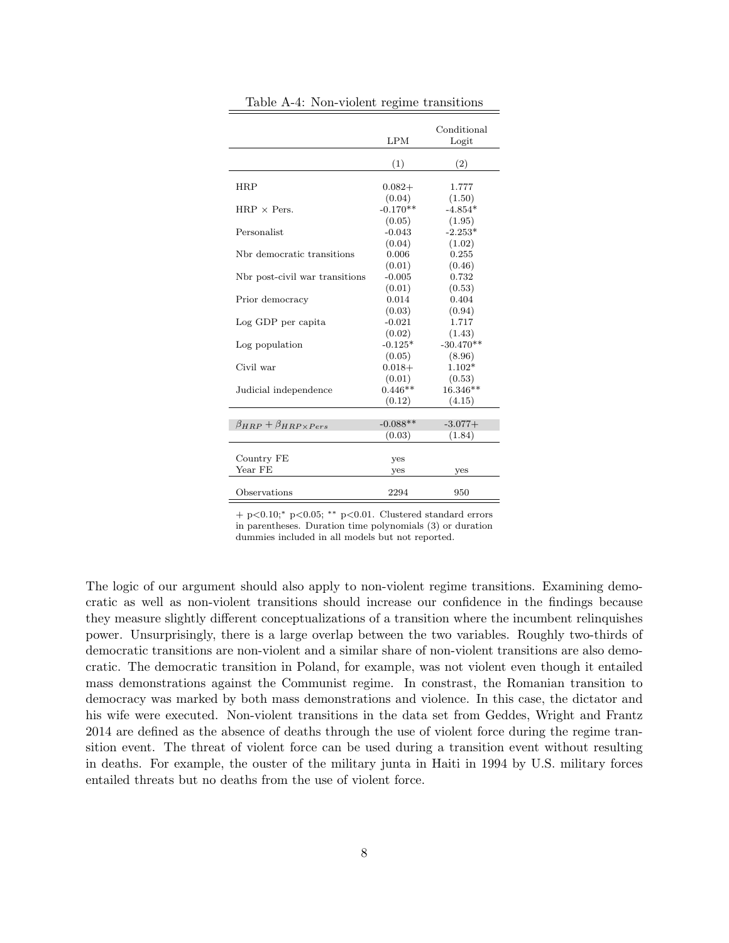|                                        | LPM        | Conditional<br>Logit |
|----------------------------------------|------------|----------------------|
|                                        | (1)        | (2)                  |
|                                        |            |                      |
| HRP                                    | $0.082+$   | 1.777                |
|                                        | (0.04)     | (1.50)               |
| $HRP \times Pers.$                     | $-0.170**$ | $-4.854*$            |
|                                        | (0.05)     | (1.95)               |
| Personalist                            | $-0.043$   | $-2.253*$            |
|                                        | (0.04)     | (1.02)               |
| Nbr democratic transitions             | 0.006      | 0.255                |
|                                        | (0.01)     | (0.46)               |
| Not post-civil war transitions         | $-0.005$   | 0.732                |
|                                        | (0.01)     | (0.53)               |
| Prior democracy                        | 0.014      | 0.404                |
|                                        | (0.03)     | (0.94)               |
| Log GDP per capita                     | $-0.021$   | 1.717                |
|                                        | (0.02)     | (1.43)               |
| Log population                         | $-0.125*$  | $-30.470**$          |
|                                        | (0.05)     | (8.96)               |
| Civil war                              | $0.018+$   | $1.102*$             |
|                                        | (0.01)     | (0.53)               |
| Judicial independence                  | $0.446**$  | 16.346**             |
|                                        | (0.12)     | (4.15)               |
|                                        |            |                      |
| $\beta_{HRP} + \beta_{HRP\times Pers}$ | $-0.088**$ | $-3.077+$            |
|                                        | (0.03)     | (1.84)               |
|                                        |            |                      |
| Country FE                             | yes        |                      |
| Year FE                                | yes        | yes                  |
|                                        |            |                      |
| Observations                           | 2294       | 950                  |

Table A-4: Non-violent regime transitions

+ p<0.10;<sup>∗</sup> p<0.05; ∗∗ p<0.01. Clustered standard errors in parentheses. Duration time polynomials (3) or duration dummies included in all models but not reported.

The logic of our argument should also apply to non-violent regime transitions. Examining democratic as well as non-violent transitions should increase our confidence in the findings because they measure slightly different conceptualizations of a transition where the incumbent relinquishes power. Unsurprisingly, there is a large overlap between the two variables. Roughly two-thirds of democratic transitions are non-violent and a similar share of non-violent transitions are also democratic. The democratic transition in Poland, for example, was not violent even though it entailed mass demonstrations against the Communist regime. In constrast, the Romanian transition to democracy was marked by both mass demonstrations and violence. In this case, the dictator and his wife were executed. Non-violent transitions in the data set from [Geddes, Wright and Frantz](#page-16-1) [2014](#page-16-1) are defined as the absence of deaths through the use of violent force during the regime transition event. The threat of violent force can be used during a transition event without resulting in deaths. For example, the ouster of the military junta in Haiti in 1994 by U.S. military forces entailed threats but no deaths from the use of violent force.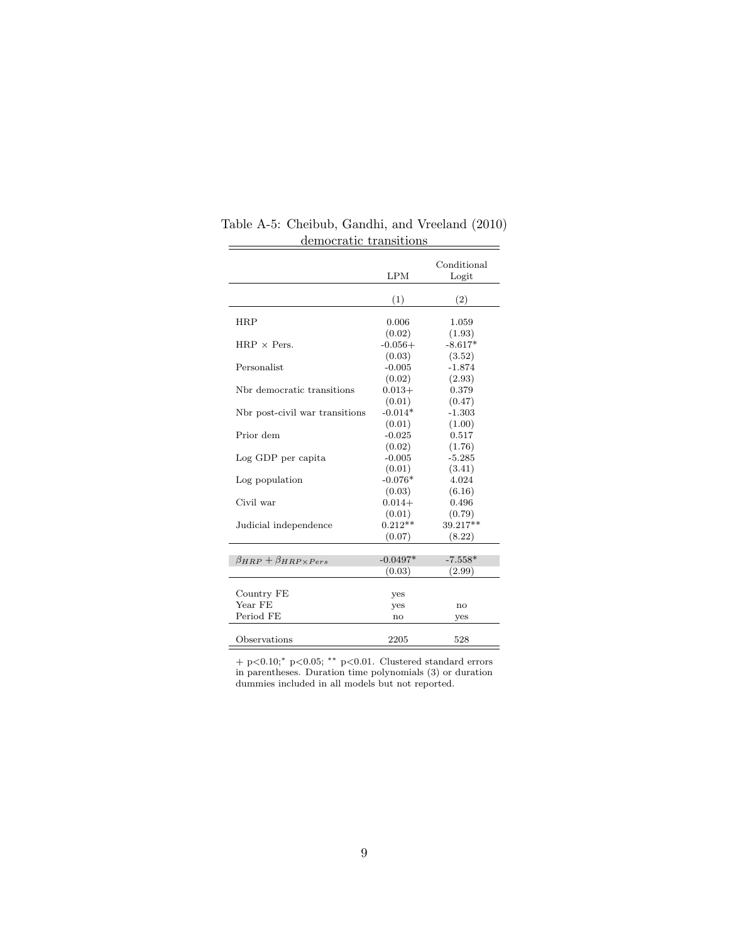|                                         | LPM                    | Conditional<br>Logit |
|-----------------------------------------|------------------------|----------------------|
|                                         | (1)                    | (2)                  |
| <b>HRP</b>                              | 0.006                  | 1.059                |
| $HRP \times Pers.$                      | (0.02)<br>$-0.056+$    | (1.93)<br>$-8.617*$  |
|                                         | (0.03)                 | (3.52)               |
| Personalist                             | $-0.005$               | $-1.874$             |
| Nbr democratic transitions              | (0.02)<br>$0.013+$     | (2.93)<br>0.379      |
|                                         | (0.01)                 | (0.47)               |
| Not post-civil war transitions          | $-0.014*$<br>(0.01)    | $-1.303$<br>(1.00)   |
| Prior dem                               | $-0.025$               | 0.517                |
| Log GDP per capita                      | (0.02)<br>$-0.005$     | (1.76)<br>$-5.285$   |
|                                         | (0.01)                 | (3.41)               |
| Log population                          | $-0.076*$<br>(0.03)    | 4.024<br>(6.16)      |
| Civil war                               | $0.014+$               | 0.496                |
| Judicial independence                   | (0.01)<br>$0.212**$    | (0.79)<br>39.217**   |
|                                         | (0.07)                 | (8.22)               |
| $\beta_{HBP} + \beta_{HBP \times Pers}$ | $-0.0497*$             | $-7.558*$            |
|                                         | (0.03)                 | (2.99)               |
| Country FE                              | yes                    |                      |
| Year FE                                 | yes                    | no                   |
| Period FE                               | $\mathbf{n}\mathbf{o}$ | yes                  |
| Observations                            | 2205                   | 528                  |

Table A-5: Cheibub, Gandhi, and Vreeland (2010) democratic transitions  $\equiv$ 

+ p<0.10;<sup>∗</sup> p<0.05; ∗∗ p<0.01. Clustered standard errors in parentheses. Duration time polynomials (3) or duration dummies included in all models but not reported.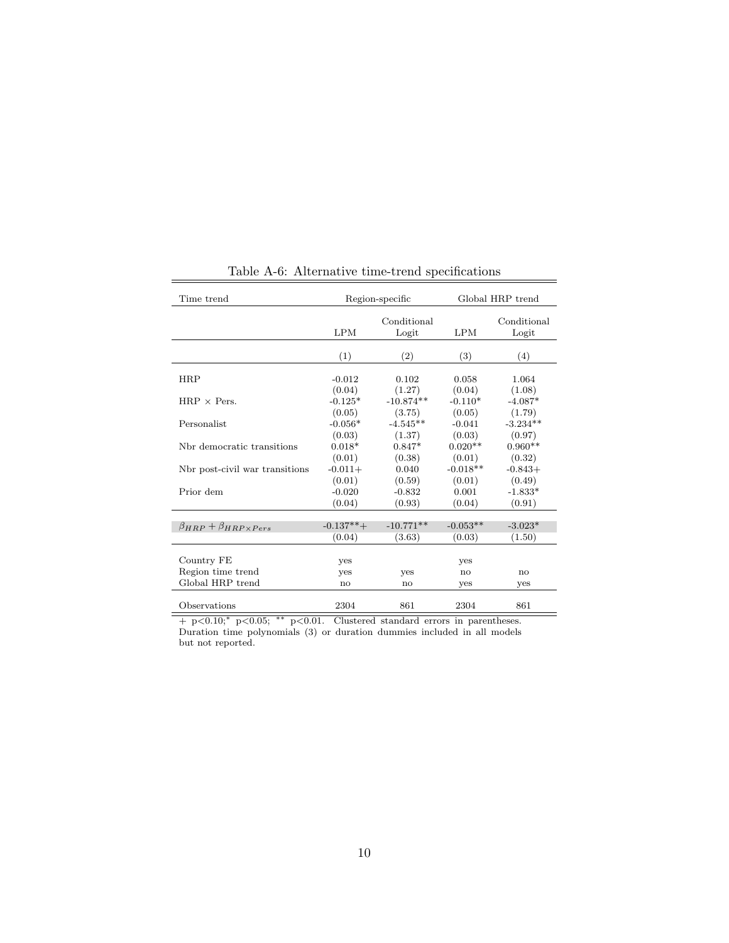| Time trend                             | Region-specific              |                              | Global HRP trend              |                               |
|----------------------------------------|------------------------------|------------------------------|-------------------------------|-------------------------------|
|                                        | <b>LPM</b>                   | Conditional<br>Logit         | <b>LPM</b>                    | Conditional<br>Logit          |
|                                        | (1)                          | (2)                          | (3)                           | (4)                           |
| <b>HRP</b>                             | $-0.012$<br>(0.04)           | 0.102<br>(1.27)              | 0.058<br>(0.04)               | 1.064<br>(1.08)               |
| $HRP \times Pers.$                     | $-0.125*$                    | $-10.874**$                  | $-0.110*$                     | $-4.087*$                     |
| Personalist                            | (0.05)<br>$-0.056*$          | (3.75)<br>$-4.545**$         | (0.05)<br>$-0.041$            | (1.79)<br>$-3.234**$          |
| Nbr democratic transitions             | (0.03)<br>$0.018*$           | (1.37)<br>$0.847*$           | (0.03)<br>$0.020**$           | (0.97)<br>$0.960**$           |
| Nbr post-civil war transitions         | (0.01)<br>$-0.011+$          | (0.38)<br>0.040              | (0.01)<br>$-0.018**$          | (0.32)<br>$-0.843+$           |
| Prior dem                              | (0.01)<br>$-0.020$<br>(0.04) | (0.59)<br>$-0.832$<br>(0.93) | (0.01)<br>0.001<br>(0.04)     | (0.49)<br>$-1.833*$<br>(0.91) |
|                                        |                              |                              |                               |                               |
| $\beta_{HRP} + \beta_{HRP\times Pers}$ | $-0.137**+$                  | $-10.771**$                  | $-0.053**$                    | $-3.023*$                     |
|                                        | (0.04)                       | (3.63)                       | (0.03)                        | (1.50)                        |
| Country FE                             | yes                          |                              | yes                           |                               |
| Region time trend<br>Global HRP trend  | yes<br>$\mathbf{n}$          | yes<br>no                    | $\mathbf{n}\mathbf{o}$<br>yes | no<br>yes                     |
|                                        |                              |                              |                               |                               |
| Observations                           | 2304                         | 861                          | 2304                          | 861                           |

#### Table A-6: Alternative time-trend specifications

+ p<0.10;<sup>∗</sup> p<0.05; ∗∗ p<0.01. Clustered standard errors in parentheses. Duration time polynomials (3) or duration dummies included in all models but not reported.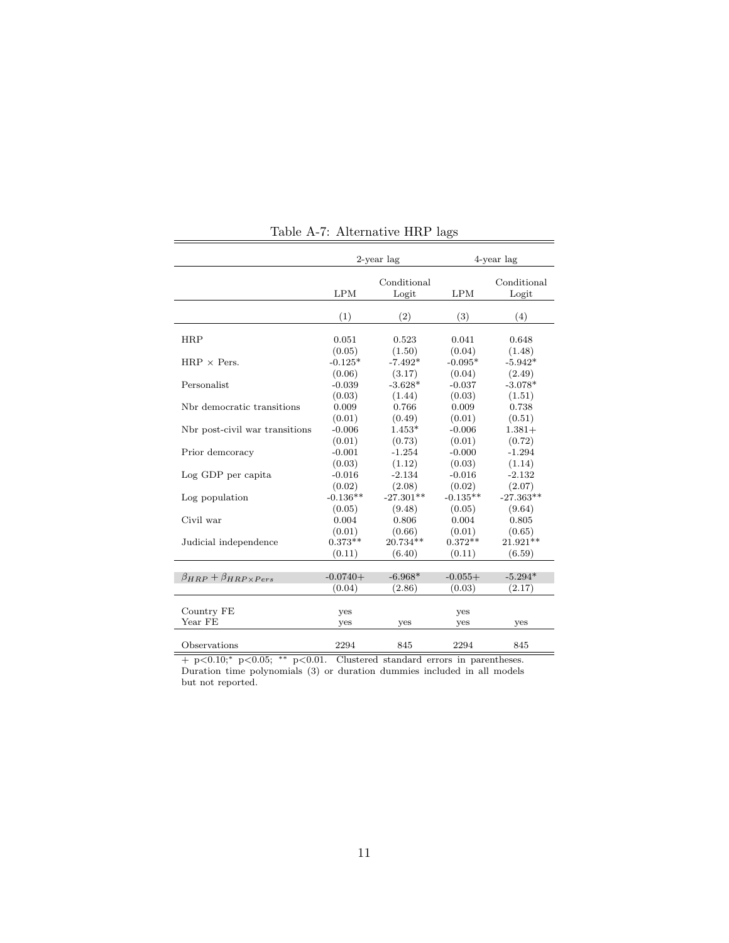|                                        | 2-year lag |                      |            | 4-year lag           |
|----------------------------------------|------------|----------------------|------------|----------------------|
|                                        | <b>LPM</b> | Conditional<br>Logit | LPM        | Conditional<br>Logit |
|                                        |            |                      |            |                      |
|                                        | (1)        | (2)                  | (3)        | (4)                  |
| <b>HRP</b>                             | 0.051      | 0.523                | 0.041      | 0.648                |
|                                        | (0.05)     | (1.50)               | (0.04)     | (1.48)               |
| $HRP \times Pers.$                     | $-0.125*$  | $-7.492*$            | $-0.095*$  | $-5.942*$            |
|                                        | (0.06)     | (3.17)               | (0.04)     | (2.49)               |
| Personalist                            | $-0.039$   | $-3.628*$            | $-0.037$   | $-3.078*$            |
|                                        | (0.03)     | (1.44)               | (0.03)     | (1.51)               |
| Nbr democratic transitions             | 0.009      | 0.766                | 0.009      | 0.738                |
|                                        | (0.01)     | (0.49)               | (0.01)     | (0.51)               |
| Nbr post-civil war transitions         | $-0.006$   | $1.453*$             | $-0.006$   | $1.381+$             |
|                                        | (0.01)     | (0.73)               | (0.01)     | (0.72)               |
| Prior demcoracy                        | $-0.001$   | $-1.254$             | $-0.000$   | $-1.294$             |
|                                        | (0.03)     | (1.12)               | (0.03)     | (1.14)               |
| Log GDP per capita                     | $-0.016$   | $-2.134$             | $-0.016$   | $-2.132$             |
|                                        | (0.02)     | (2.08)               | (0.02)     | (2.07)               |
| Log population                         | $-0.136**$ | $-27.301**$          | $-0.135**$ | $-27.363**$          |
|                                        | (0.05)     | (9.48)               | (0.05)     | (9.64)               |
| Civil war                              | 0.004      | 0.806                | 0.004      | 0.805                |
|                                        | (0.01)     | (0.66)               | (0.01)     | (0.65)               |
| Judicial independence                  | $0.373**$  | 20.734**             | $0.372**$  | $21.921**$           |
|                                        | (0.11)     | (6.40)               | (0.11)     | (6.59)               |
|                                        |            |                      |            |                      |
| $\beta_{HRP} + \beta_{HRP\times Pers}$ | $-0.0740+$ | $-6.968*$            | $-0.055+$  | $-5.294*$            |
|                                        | (0.04)     | (2.86)               | (0.03)     | (2.17)               |
| Country FE                             |            |                      |            |                      |
| Year FE                                | yes        |                      | yes        |                      |
|                                        | yes        | yes                  | yes        | yes                  |
| Observations                           | 2294       | 845                  | 2294       | 845                  |

Table A-7: Alternative HRP lags

+ p<0.10;<sup>∗</sup> p<0.05; ∗∗ p<0.01. Clustered standard errors in parentheses. Duration time polynomials (3) or duration dummies included in all models but not reported.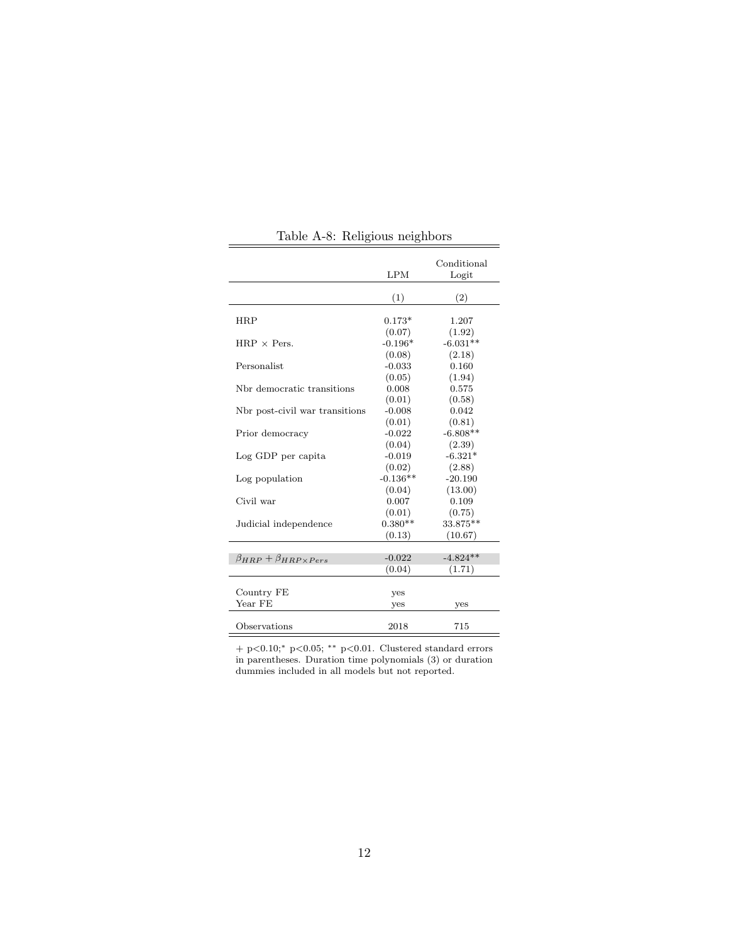|                                         | LPM                          | Conditional<br>Logit      |
|-----------------------------------------|------------------------------|---------------------------|
|                                         | (1)                          | (2)                       |
| <b>HRP</b>                              | $0.173*$                     | 1.207                     |
| $HRP \times Pers.$                      | (0.07)<br>$-0.196*$          | (1.92)<br>$-6.031**$      |
| Personalist                             | (0.08)<br>$-0.033$<br>(0.05) | (2.18)<br>0.160<br>(1.94) |
| Nbr democratic transitions              | 0.008<br>(0.01)              | 0.575<br>(0.58)           |
| Not post-civil war transitions          | $-0.008$<br>(0.01)           | 0.042<br>(0.81)           |
| Prior democracy                         | $-0.022$<br>(0.04)           | $-6.808**$<br>(2.39)      |
| Log GDP per capita                      | $-0.019$<br>(0.02)           | $-6.321*$<br>(2.88)       |
| Log population                          | $-0.136**$<br>(0.04)         | $-20.190$<br>(13.00)      |
| Civil war                               | 0.007<br>(0.01)              | 0.109<br>(0.75)           |
| Judicial independence                   | $0.380**$<br>(0.13)          | 33.875**<br>(10.67)       |
| $\beta_{HRP} + \beta_{HRP \times Pers}$ | $-0.022$<br>(0.04)           | $-4.824**$<br>(1.71)      |
|                                         |                              |                           |
| Country FE<br>Year FE                   | yes<br>yes                   | yes                       |
| Observations                            | 2018                         | 715                       |

Table A-8: Religious neighbors

 $\overline{\phantom{a}}$ 

 $\equiv$ 

+ p<0.10;<sup>∗</sup> p<0.05; ∗∗ p<0.01. Clustered standard errors in parentheses. Duration time polynomials (3) or duration dummies included in all models but not reported.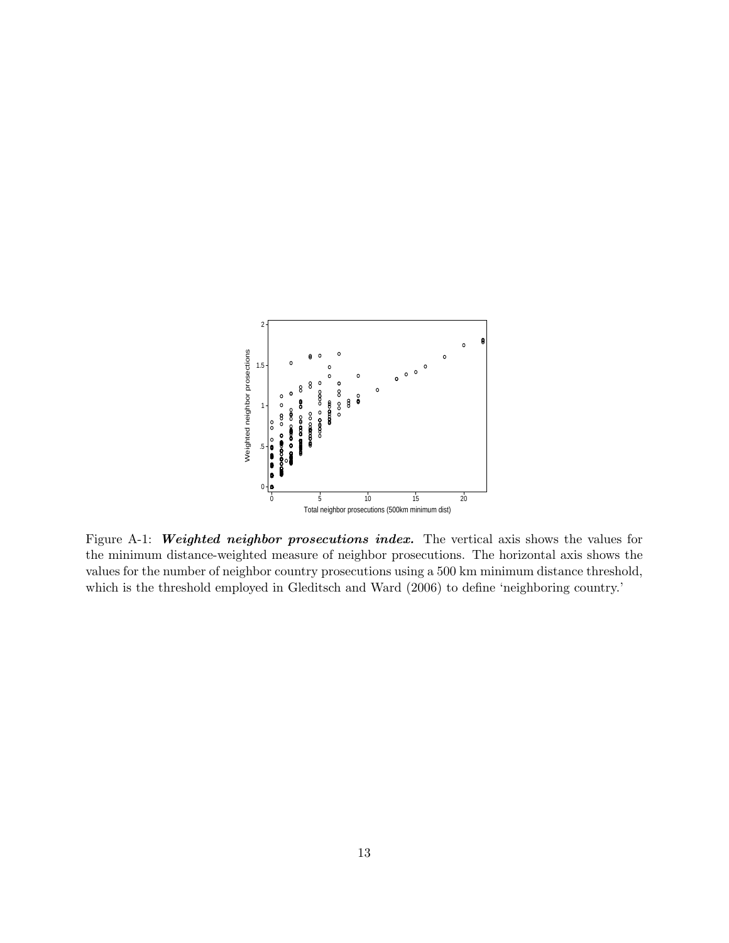

Figure A-1: Weighted neighbor prosecutions index. The vertical axis shows the values for the minimum distance-weighted measure of neighbor prosecutions. The horizontal axis shows the values for the number of neighbor country prosecutions using a 500 km minimum distance threshold, which is the threshold employed in Gleditsch and Ward (2006) to define 'neighboring country.'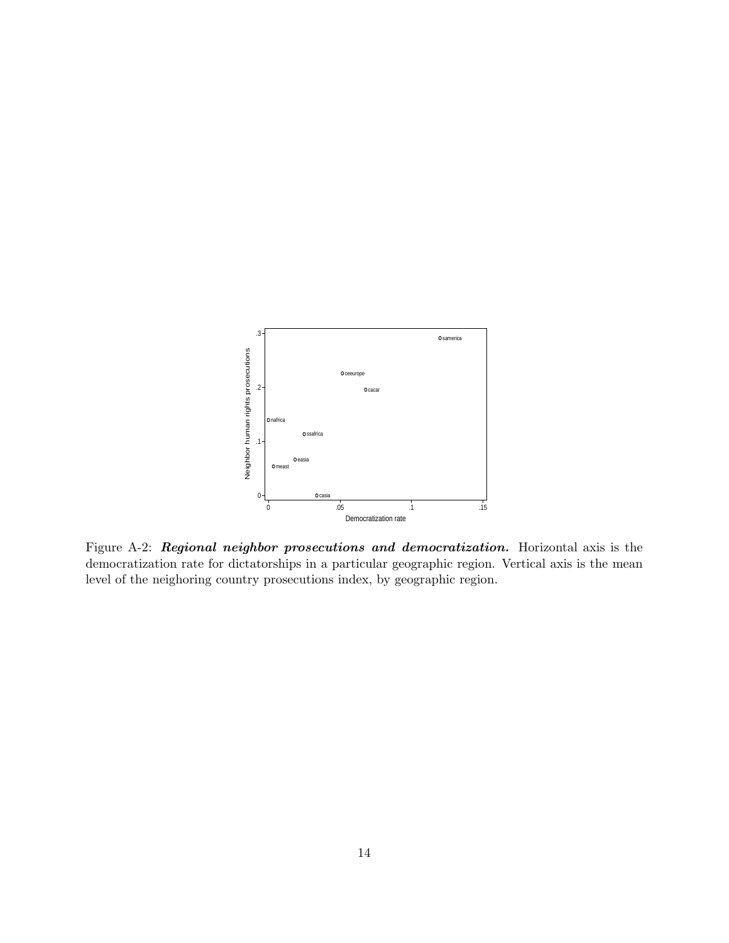

Figure A-2: Regional neighbor prosecutions and democratization. Horizontal axis is the democratization rate for dictatorships in a particular geographic region. Vertical axis is the mean level of the neighoring country prosecutions index, by geographic region.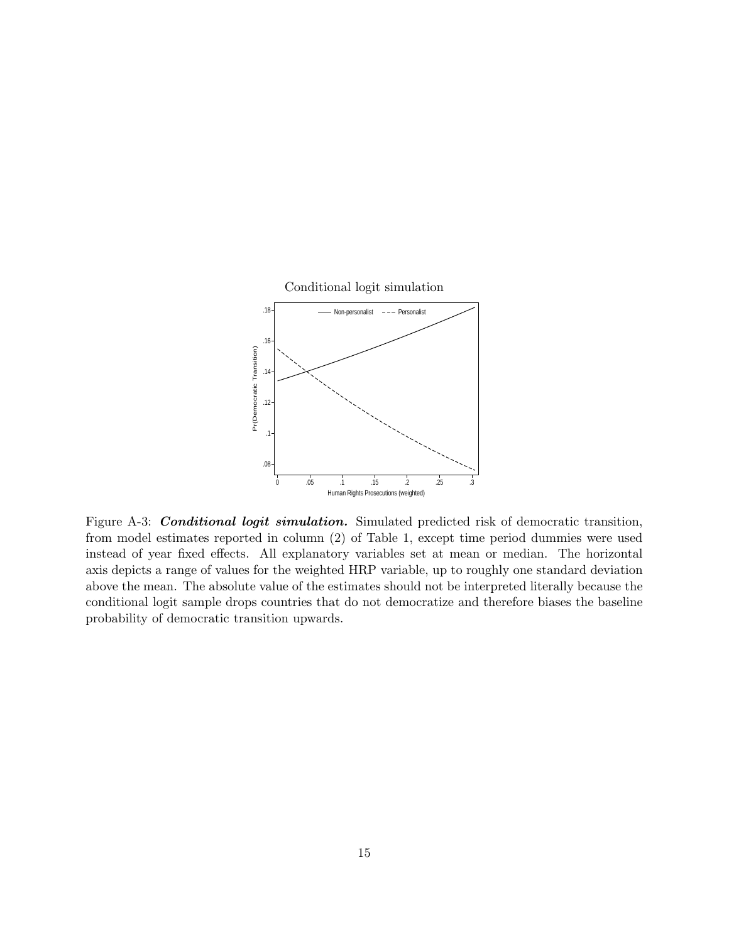

Figure A-3: Conditional logit simulation. Simulated predicted risk of democratic transition, from model estimates reported in column (2) of Table 1, except time period dummies were used instead of year fixed effects. All explanatory variables set at mean or median. The horizontal axis depicts a range of values for the weighted HRP variable, up to roughly one standard deviation above the mean. The absolute value of the estimates should not be interpreted literally because the conditional logit sample drops countries that do not democratize and therefore biases the baseline probability of democratic transition upwards.